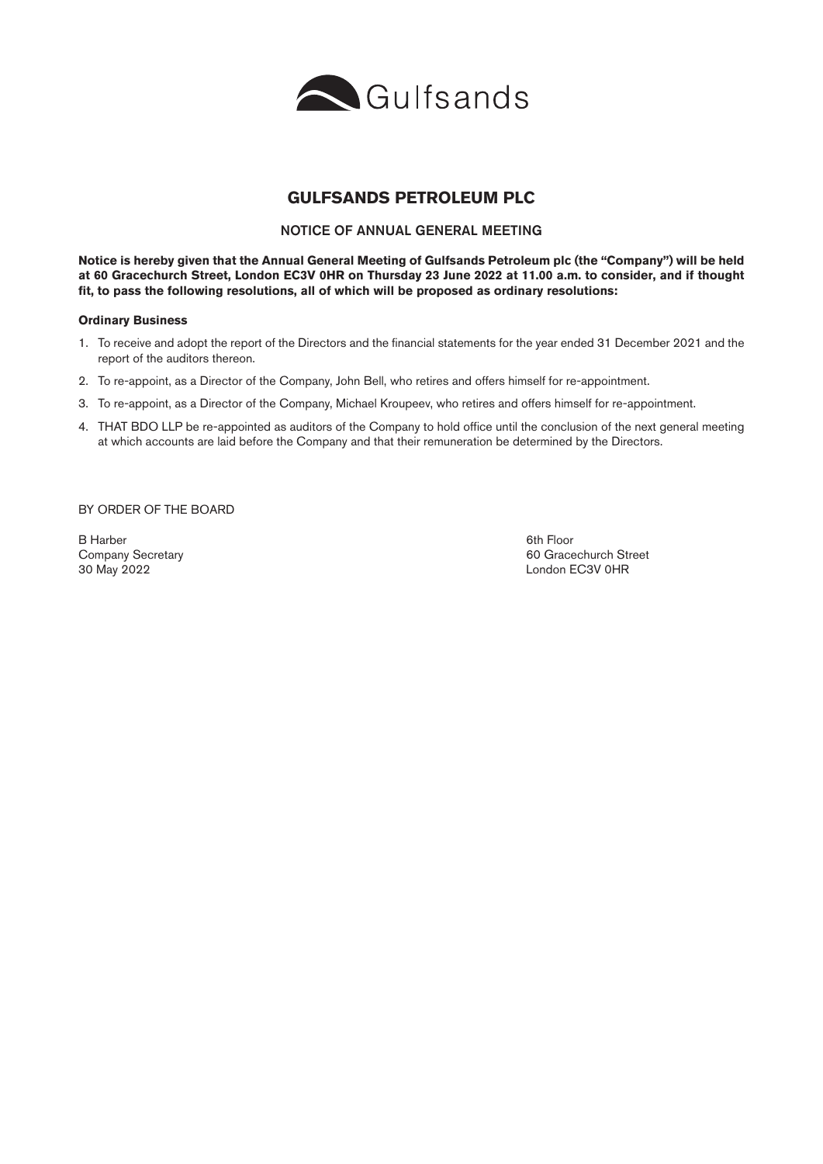

# **GULFSANDS PETROLEUM PLC**

### NOTICE OF ANNUAL GENERAL MEETING

**Notice is hereby given that the Annual General Meeting of Gulfsands Petroleum plc (the "Company") will be held at 60 Gracechurch Street, London EC3V 0HR on Thursday 23 June 2022 at 11.00 a.m. to consider, and if thought fit, to pass the following resolutions, all of which will be proposed as ordinary resolutions:**

#### **Ordinary Business**

- 1. To receive and adopt the report of the Directors and the financial statements for the year ended 31 December 2021 and the report of the auditors thereon.
- 2. To re-appoint, as a Director of the Company, John Bell, who retires and offers himself for re-appointment.
- 3. To re-appoint, as a Director of the Company, Michael Kroupeev, who retires and offers himself for re-appointment.
- 4. THAT BDO LLP be re-appointed as auditors of the Company to hold office until the conclusion of the next general meeting at which accounts are laid before the Company and that their remuneration be determined by the Directors.

BY ORDER OF THE BOARD

B Harber 6th Floor (1999) and the settlement of the settlement of the settlement of the State of the State of the State of the State of the State of the State of the State of the State of the State of the State of the Stat 30 May 2022 London EC3V 0HR

Company Secretary 60 Gracechurch Street